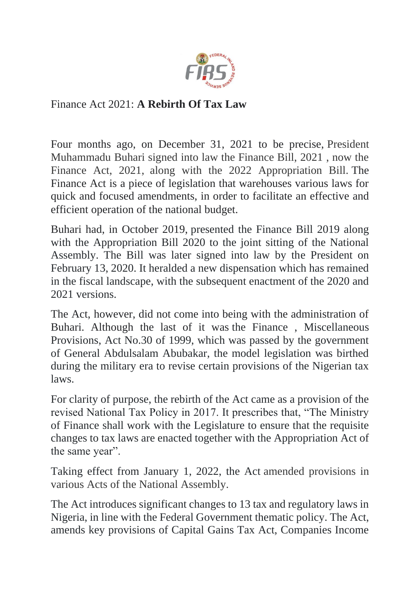

## Finance Act 2021: **A Rebirth Of Tax Law**

Four months ago, on December 31, 2021 to be precise, President Muhammadu Buhari signed into law the Finance Bill, 2021 , now the Finance Act, 2021, along with the 2022 Appropriation Bill. The Finance Act is a piece of legislation that warehouses various laws for quick and focused amendments, in order to facilitate an effective and efficient operation of the national budget.

Buhari had, in October 2019, presented the Finance Bill 2019 along with the Appropriation Bill 2020 to the joint sitting of the National Assembly. The Bill was later signed into law by the President on February 13, 2020. It heralded a new dispensation which has remained in the fiscal landscape, with the subsequent enactment of the 2020 and 2021 versions.

The Act, however, did not come into being with the administration of Buhari. Although the last of it was the Finance , Miscellaneous Provisions, Act No.30 of 1999, which was passed by the government of General Abdulsalam Abubakar, the model legislation was birthed during the military era to revise certain provisions of the Nigerian tax laws.

For clarity of purpose, the rebirth of the Act came as a provision of the revised National Tax Policy in 2017. It prescribes that, "The Ministry of Finance shall work with the Legislature to ensure that the requisite changes to tax laws are enacted together with the Appropriation Act of the same year".

Taking effect from January 1, 2022, the Act amended provisions in various Acts of the National Assembly.

The Act introduces significant changes to 13 tax and regulatory laws in Nigeria, in line with the Federal Government thematic policy. The Act, amends key provisions of Capital Gains Tax Act, Companies Income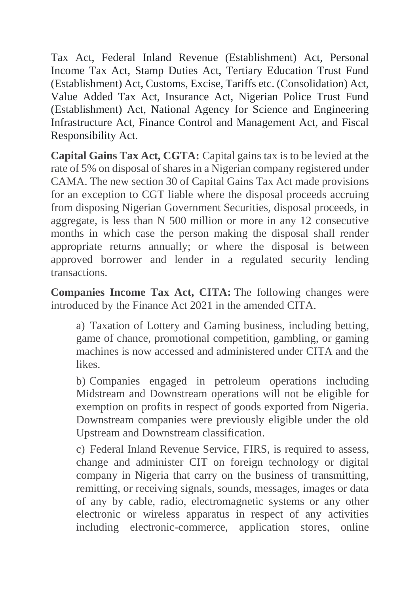Tax Act, Federal Inland Revenue (Establishment) Act, Personal Income Tax Act, Stamp Duties Act, Tertiary Education Trust Fund (Establishment) Act, Customs, Excise, Tariffs etc. (Consolidation) Act, Value Added Tax Act, Insurance Act, Nigerian Police Trust Fund (Establishment) Act, National Agency for Science and Engineering Infrastructure Act, Finance Control and Management Act, and Fiscal Responsibility Act.

**Capital Gains Tax Act, CGTA:** Capital gains tax is to be levied at the rate of 5% on disposal of shares in a Nigerian company registered under CAMA. The new section 30 of Capital Gains Tax Act made provisions for an exception to CGT liable where the disposal proceeds accruing from disposing Nigerian Government Securities, disposal proceeds, in aggregate, is less than N 500 million or more in any 12 consecutive months in which case the person making the disposal shall render appropriate returns annually; or where the disposal is between approved borrower and lender in a regulated security lending transactions.

**Companies Income Tax Act, CITA:** The following changes were introduced by the Finance Act 2021 in the amended CITA.

a) Taxation of Lottery and Gaming business, including betting, game of chance, promotional competition, gambling, or gaming machines is now accessed and administered under CITA and the likes.

b) Companies engaged in petroleum operations including Midstream and Downstream operations will not be eligible for exemption on profits in respect of goods exported from Nigeria. Downstream companies were previously eligible under the old Upstream and Downstream classification.

c) Federal Inland Revenue Service, FIRS, is required to assess, change and administer CIT on foreign technology or digital company in Nigeria that carry on the business of transmitting, remitting, or receiving signals, sounds, messages, images or data of any by cable, radio, electromagnetic systems or any other electronic or wireless apparatus in respect of any activities including electronic-commerce, application stores, online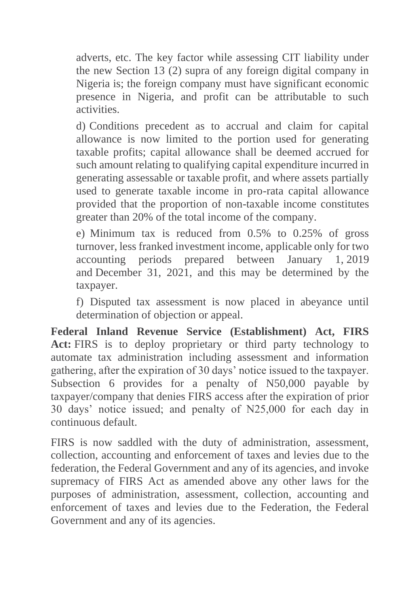adverts, etc. The key factor while assessing CIT liability under the new Section 13 (2) supra of any foreign digital company in Nigeria is; the foreign company must have significant economic presence in Nigeria, and profit can be attributable to such activities.

d) Conditions precedent as to accrual and claim for capital allowance is now limited to the portion used for generating taxable profits; capital allowance shall be deemed accrued for such amount relating to qualifying capital expenditure incurred in generating assessable or taxable profit, and where assets partially used to generate taxable income in pro-rata capital allowance provided that the proportion of non-taxable income constitutes greater than 20% of the total income of the company.

e) Minimum tax is reduced from 0.5% to 0.25% of gross turnover, less franked investment income, applicable only for two accounting periods prepared between January 1, 2019 and December 31, 2021, and this may be determined by the taxpayer.

f) Disputed tax assessment is now placed in abeyance until determination of objection or appeal.

**Federal Inland Revenue Service (Establishment) Act, FIRS Act:** FIRS is to deploy proprietary or third party technology to automate tax administration including assessment and information gathering, after the expiration of 30 days' notice issued to the taxpayer. Subsection 6 provides for a penalty of N50,000 payable by taxpayer/company that denies FIRS access after the expiration of prior 30 days' notice issued; and penalty of N25,000 for each day in continuous default.

FIRS is now saddled with the duty of administration, assessment, collection, accounting and enforcement of taxes and levies due to the federation, the Federal Government and any of its agencies, and invoke supremacy of FIRS Act as amended above any other laws for the purposes of administration, assessment, collection, accounting and enforcement of taxes and levies due to the Federation, the Federal Government and any of its agencies.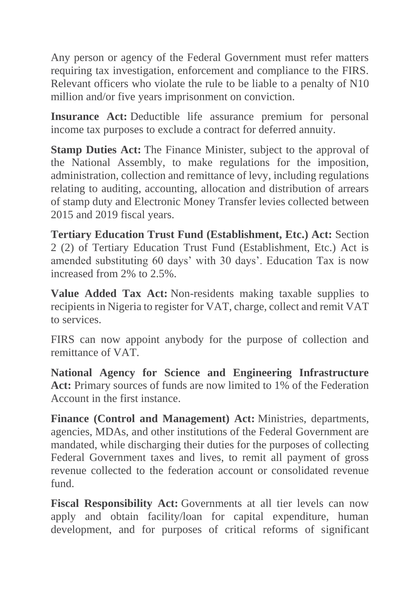Any person or agency of the Federal Government must refer matters requiring tax investigation, enforcement and compliance to the FIRS. Relevant officers who violate the rule to be liable to a penalty of N10 million and/or five years imprisonment on conviction.

**Insurance Act:** Deductible life assurance premium for personal income tax purposes to exclude a contract for deferred annuity.

**Stamp Duties Act:** The Finance Minister, subject to the approval of the National Assembly, to make regulations for the imposition, administration, collection and remittance of levy, including regulations relating to auditing, accounting, allocation and distribution of arrears of stamp duty and Electronic Money Transfer levies collected between 2015 and 2019 fiscal years.

**Tertiary Education Trust Fund (Establishment, Etc.) Act:** Section 2 (2) of Tertiary Education Trust Fund (Establishment, Etc.) Act is amended substituting 60 days' with 30 days'. Education Tax is now increased from 2% to 2.5%.

**Value Added Tax Act:** Non-residents making taxable supplies to recipients in Nigeria to register for VAT, charge, collect and remit VAT to services.

FIRS can now appoint anybody for the purpose of collection and remittance of VAT.

**National Agency for Science and Engineering Infrastructure Act:** Primary sources of funds are now limited to 1% of the Federation Account in the first instance.

**Finance (Control and Management) Act:** Ministries, departments, agencies, MDAs, and other institutions of the Federal Government are mandated, while discharging their duties for the purposes of collecting Federal Government taxes and lives, to remit all payment of gross revenue collected to the federation account or consolidated revenue fund.

**Fiscal Responsibility Act:** Governments at all tier levels can now apply and obtain facility/loan for capital expenditure, human development, and for purposes of critical reforms of significant